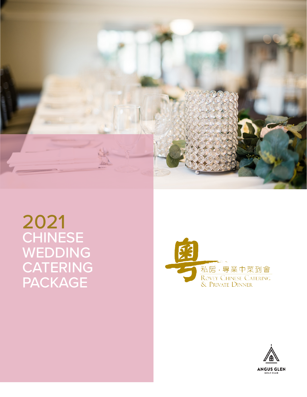

2021 CHINESE WEDDING CATERING PACKAGE



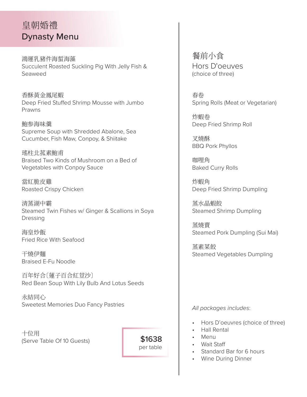# 皇朝婚禮 Dynasty Menu

鴻運乳豬件海蜇海藻 Succulent Roasted Suckling Pig With Jelly Fish & Seaweed

香酥黃金鳳尾蝦 Deep Fried Stuffed Shrimp Mousse with Jumbo Prawns

鮑参海味羹 Supreme Soup with Shredded Abalone, Sea Cucumber, Fish Maw, Conpoy, & Shiitake

瑤柱北菰素鮑甫 Braised Two Kinds of Mushroom on a Bed of Vegetables with Conpoy Sauce

當紅脆皮雞 Roasted Crispy Chicken

清蒸湖中霸 Steamed Twin Fishes w/ Ginger & Scallions in Soya Dressing

海皇炒飯 Fried Rice With Seafood

干燒伊麵 Braised E-Fu Noodle

百年好合〔蓮子百合紅荳沙〕 Red Bean Soup With Lily Bulb And Lotus Seeds

永結同心 Sweetest Memories Duo Fancy Pastries

十位用 (Serve Table Of 10 Guests)

 \$1638 per table 餐前小食 Hors D'oeuves (choice of three)

春卷 Spring Rolls (Meat or Vegetarian)

炸蝦卷 Deep Fried Shrimp Roll

叉燒酥 BBQ Pork Phyllos

咖哩角 Baked Curry Rolls

炸蝦角 Deep Fried Shrimp Dumpling

蒸水晶蝦餃 Steamed Shrimp Dumpling

蒸燒賣 Steamed Pork Dumpling (Sui Mai)

蒸素菜餃 Steamed Vegetables Dumpling

*All packages includes*:

- Hors D'oeuvres (choice of three)
- Hall Rental
- Menu
- Wait Staff
- Standard Bar for 6 hours
- Wine During Dinner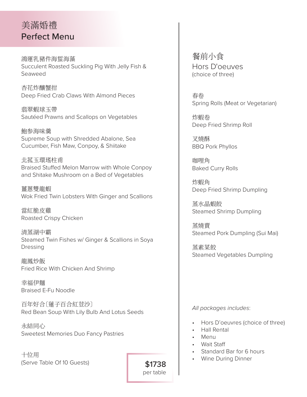# 美滿婚禮 Perfect Menu

鴻運乳豬件海蜇海藻 Succulent Roasted Suckling Pig With Jelly Fish & Seaweed

杏花炸釀蟹拑 Deep Fried Crab Claws With Almond Pieces

翡翠蝦球玉帶 Sautéed Prawns and Scallops on Vegetables

鮑参海味羹 Supreme Soup with Shredded Abalone, Sea Cucumber, Fish Maw, Conpoy, & Shiitake

北菰玉環瑤柱甫 Braised Stuffed Melon Marrow with Whole Conpoy and Shitake Mushroom on a Bed of Vegetables

薑蔥雙龍蝦 Wok Fried Twin Lobsters With Ginger and Scallions

當紅脆皮雞 Roasted Crispy Chicken

清蒸湖中霸 Steamed Twin Fishes w/ Ginger & Scallions in Soya Dressing

龍鳳炒飯 Fried Rice With Chicken And Shrimp

幸福伊麵 Braised E-Fu Noodle

百年好合〔蓮子百合紅荳沙〕 Red Bean Soup With Lily Bulb And Lotus Seeds

永結同心 Sweetest Memories Duo Fancy Pastries

十位用 (Serve Table Of 10 Guests) 餐前小食 Hors D'oeuves (choice of three)

春卷 Spring Rolls (Meat or Vegetarian)

炸蝦卷 Deep Fried Shrimp Roll

叉燒酥 BBQ Pork Phyllos

咖哩角 Baked Curry Rolls

炸蝦角 Deep Fried Shrimp Dumpling

蒸水晶蝦餃 Steamed Shrimp Dumpling

蒸燒賣 Steamed Pork Dumpling (Sui Mai)

蒸素菜餃 Steamed Vegetables Dumpling

*All packages includes*:

- Hors D'oeuvres (choice of three)
- Hall Rental
- Menu
- Wait Staff
- Standard Bar for 6 hours
- Wine During Dinner

 \$1738 per table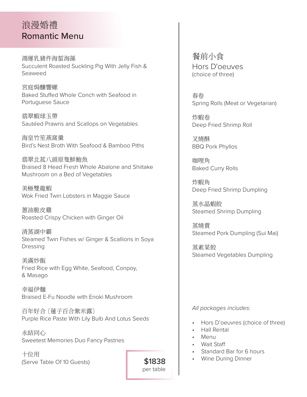# 浪漫婚禮 Romantic Menu

鴻運乳豬件海蜇海藻 Succulent Roasted Suckling Pig With Jelly Fish & Seaweed

宮庭焗釀響螺 Baked Stuffed Whole Conch with Seafood in Portuguese Sauce

翡翠蝦球玉帶 Sautéed Prawns and Scallops on Vegetables

海皇竹笙燕窩羹 Bird's Nest Broth With Seafood & Bamboo Piths

翡翠北菰八頭原隻鮮鮑魚 Braised 8 Head Fresh Whole Abalone and Shiitake Mushroom on a Bed of Vegetables

美極雙龍蝦 Wok Fried Twin Lobsters in Maggie Sauce

蔥油脆皮雞 Roasted Crispy Chicken with Ginger Oil

清蒸湖中霸 Steamed Twin Fishes w/ Ginger & Scallions in Soya Dressing

美滿炒飯 Fried Rice with Egg White, Seafood, Conpoy, & Masago

幸福伊麵 Braised E-Fu Noodle with Enoki Mushroom

百年好合 〔蓮子百合紫米露〕 Purple Rice Paste With Lily Bulb And Lotus Seeds

永結同心 Sweetest Memories Duo Fancy Pastries

十位用 (Serve Table Of 10 Guests) 餐前小食 Hors D'oeuves (choice of three)

春卷 Spring Rolls (Meat or Vegetarian)

炸蝦卷 Deep Fried Shrimp Roll

叉燒酥 BBQ Pork Phyllos

咖哩角 Baked Curry Rolls

炸蝦角 Deep Fried Shrimp Dumpling

蒸水晶蝦餃 Steamed Shrimp Dumpling

蒸燒賣 Steamed Pork Dumpling (Sui Mai)

蒸素菜餃 Steamed Vegetables Dumpling

*All packages includes*:

- Hors D'oeuvres (choice of three)
- Hall Rental
- Menu
- Wait Staff
- Standard Bar for 6 hours
- Wine During Dinner

 \$1838 per table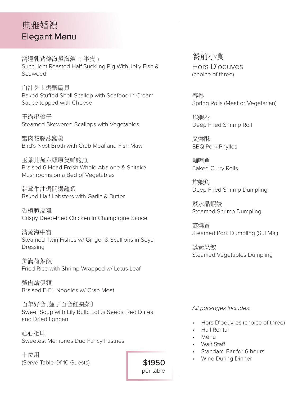# 典雅婚禮 Elegant Menu

鴻運乳豬條海蜇海藻 { 半隻 } Succulent Roasted Half Suckling Pig With Jelly Fish & Seaweed

白汁芝士焗釀扇貝 Baked Stuffed Shell Scallop with Seafood in Cream Sauce topped with Cheese

玉露串帶子 Steamed Skewered Scallops with Vegetables

蟹肉花膠燕窩羹 Bird's Nest Broth with Crab Meal and Fish Maw

玉葉北菰六頭原隻鮮鮑魚 Braised 6 Head Fresh Whole Abalone & Shitake Mushrooms on a Bed of Vegetables

蒜茸牛油焗開邊龍蝦 Baked Half Lobsters with Garlic & Butter

香檳脆皮雞 Crispy Deep-fried Chicken in Champagne Sauce

清蒸海中寶 Steamed Twin Fishes w/ Ginger & Scallions in Soya Dressing

美滿荷葉飯 Fried Rice with Shrimp Wrapped w/ Lotus Leaf

蟹肉燴伊麵 Braised E-Fu Noodles w/ Crab Meat

百年好合〔蓮子百合紅棗茶〕 Sweet Soup with Lily Bulb, Lotus Seeds, Red Dates and Dried Longan

心心相印 Sweetest Memories Duo Fancy Pastries

十位用 (Serve Table Of 10 Guests) 餐前小食 Hors D'oeuves (choice of three)

春卷 Spring Rolls (Meat or Vegetarian)

炸蝦卷 Deep Fried Shrimp Roll

叉燒酥 BBQ Pork Phyllos

咖哩角 Baked Curry Rolls

炸蝦角 Deep Fried Shrimp Dumpling

蒸水晶蝦餃 Steamed Shrimp Dumpling

蒸燒賣 Steamed Pork Dumpling (Sui Mai)

蒸素菜餃 Steamed Vegetables Dumpling

*All packages includes*:

- Hors D'oeuvres (choice of three)
- Hall Rental
- Menu

 \$1950 per table

- Wait Staff
- Standard Bar for 6 hours
- Wine During Dinner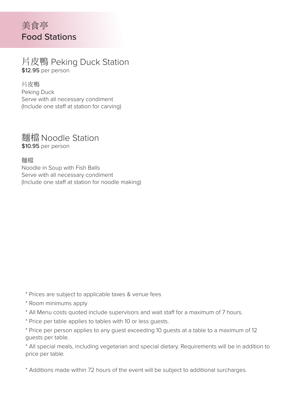# 美食亭 Food Stations

### 片皮鴨 Peking Duck Station \$12.95 per person

片皮鴨 Peking Duck Serve with all necessary condiment (Include one staff at station for carving)

### 麵檔 Noodle Station \$10.95 per person

麵檔 Noodle in Soup with Fish Balls Serve with all necessary condiment (Include one staff at station for noodle making)

- \* Prices are subject to applicable taxes & venue fees
- \* Room minimums apply
- \* All Menu costs quoted include supervisors and wait staff for a maximum of 7 hours.
- \* Price per table applies to tables with 10 or less guests.
- \* Price per person applies to any guest exceeding 10 guests at a table to a maximum of 12 guests per table.
- \* All special meals, including vegetarian and special dietary. Requirements will be in addition to price per table.
- \* Additions made within 72 hours of the event will be subject to additional surcharges.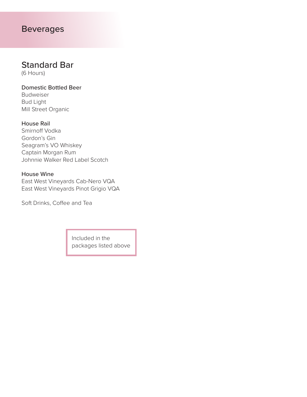## Beverages

## Standard Bar

(6 Hours)

#### Domestic Bottled Beer Budweiser Bud Light

Mill Street Organic

#### House Rail

Smirnoff Vodka Gordon's Gin Seagram's VO Whiskey Captain Morgan Rum Johnnie Walker Red Label Scotch

#### House Wine

East West Vineyards Cab-Nero VQA East West Vineyards Pinot Grigio VQA

Soft Drinks, Coffee and Tea

Included in the packages listed above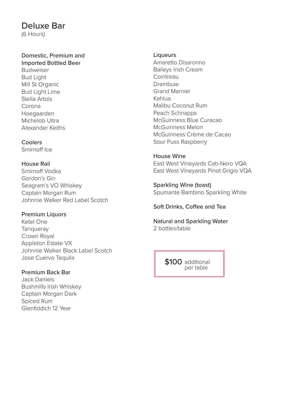### Deluxe Bar

(6 Hours)

### Domestic, Premium and

Imported Bottled Beer Budweiser Bud Light Mill St Organic Bud Light Lime Stella Artois Corona Hoegaarden Michelob Ultra Alexander Keiths

#### **Coolers** Smirnoff Ice

#### House Rail

Smirnoff Vodka Gordon's Gin Seagram's VO Whiskey Captain Morgan Rum Johnnie Walker Red Label Scotch

#### Premium Liquors

Ketel One **Tanqueray** Crown Royal Appleton Estate VX Johnnie Walker Black Label Scotch Jose Cuervo Tequila

#### Premium Back Bar

Jack Daniels Bushmills Irish Whiskey Captain Morgan Dark Spiced Rum Glenfiddich 12 Year

#### Liqueurs

Amaretto Disaronno Baileys Irish Cream **Cointreau** Drambuie Grand Marnier Kahlua Malibu Coconut Rum Peach Schnapps McGuinness Blue Curacao McGuinness Melon McGuinness Crème de Cacao Sour Puss Raspberry

#### House Wine

East West Vineyards Cab-Nero VQA East West Vineyards Pinot Grigio VQA

Sparkling Wine (toast) Spumante Bambino Sparkling White

#### Soft Drinks, Coffee and Tea

Natural and Sparkling Water 2 bottles/table

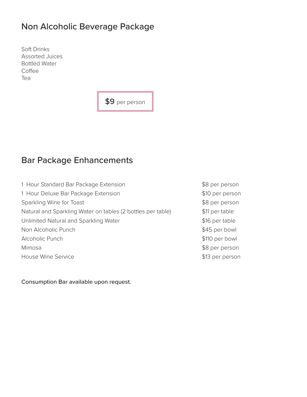## Non Alcoholic Beverage Package

Soft Drinks Assorted Juices Bottled Water Coffee Tea

\$9 per person

## Bar Package Enhancements

| 1 Hour Standard Bar Package Extension                       | \$8 per person  |
|-------------------------------------------------------------|-----------------|
| 1 Hour Deluxe Bar Package Extension                         | \$10 per person |
| Sparkling Wine for Toast                                    | \$8 per person  |
| Natural and Sparkling Water on tables (2 bottles per table) | \$11 per table  |
| Unlimited Natural and Sparkling Water                       | \$16 per table  |
| Non Alcoholic Punch                                         | \$45 per bowl   |
| Alcoholic Punch                                             | \$110 per bowl  |
| Mimosa                                                      | \$8 per person  |
| House Wine Service                                          | \$13 per person |

Consumption Bar available upon request.